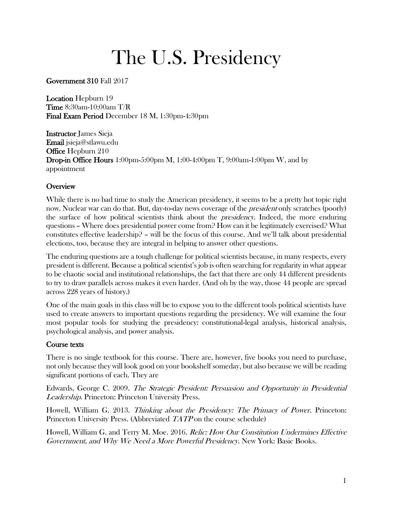# The U.S. Presidency

Government 310 Fall 2017

Location Hepburn 19 Time 8:30am-10:00am T/R Final Exam Period December 18 M, 1:30pm-4:30pm

Instructor James Sieja Email jsieja@stlawu.edu **Office Hepburn 210 Drop-in Office Hours** 1:00pm-5:00pm M, 1:00-4:00pm T, 9:00am-1:00pm W, and by appointment

## **Overview**

While there is no bad time to study the American presidency, it seems to be a pretty hot topic right now. Nuclear war can do that. But, day-to-day news coverage of the *president* only scratches (poorly) the surface of how political scientists think about the *presidency*. Indeed, the more enduring questions – Where does presidential power come from? How can it be legitimately exercised? What constitutes effective leadership? – will be the focus of this course. And we'll talk about presidential elections, too, because they are integral in helping to answer other questions.

The enduring questions are a tough challenge for political scientists because, in many respects, every president is different. Because a political scientist's job is often searching for regularity in what appear to be chaotic social and institutional relationships, the fact that there are only 44 different presidents to try to draw parallels across makes it even harder. (And oh by the way, those 44 people are spread across 228 years of history.)

One of the main goals in this class will be to expose you to the different tools political scientists have used to create answers to important questions regarding the presidency. We will examine the four most popular tools for studying the presidency: constitutional-legal analysis, historical analysis, psychological analysis, and power analysis.

## Course texts

There is no single textbook for this course. There are, however, five books you need to purchase, not only because they will look good on your bookshelf someday, but also because we will be reading significant portions of each. They are

Edwards, George C. 2009. The Strategic President: Persuasion and Opportunity in Presidential Leadership. Princeton: Princeton University Press.

Howell, William G. 2013. Thinking about the Presidency: The Primacy of Power. Princeton: Princeton University Press. (Abbreviated TATP on the course schedule)

Howell, William G. and Terry M. Moe. 2016. Relic: How Our Constitution Undermines Effective Government, and Why We Need a More Powerful Presidency. New York: Basic Books.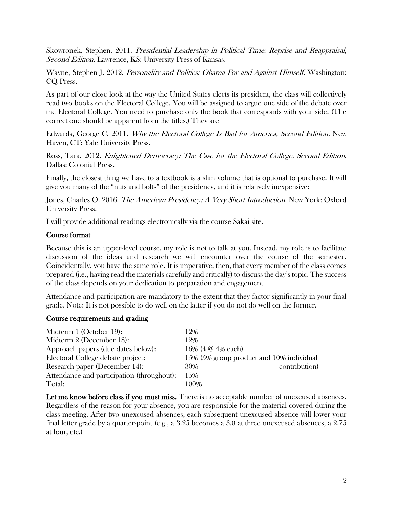Skowronek, Stephen. 2011. Presidential Leadership in Political Time: Reprise and Reappraisal, Second Edition. Lawrence, KS: University Press of Kansas.

Wayne, Stephen J. 2012. *Personality and Politics: Obama For and Against Himself*. Washington: CQ Press.

As part of our close look at the way the United States elects its president, the class will collectively read two books on the Electoral College. You will be assigned to argue one side of the debate over the Electoral College. You need to purchase only the book that corresponds with your side. (The correct one should be apparent from the titles.) They are

Edwards, George C. 2011. Why the Electoral College Is Bad for America, Second Edition. New Haven, CT: Yale University Press.

Ross, Tara. 2012. Enlightened Democracy: The Case for the Electoral College, Second Edition. Dallas: Colonial Press.

Finally, the closest thing we have to a textbook is a slim volume that is optional to purchase. It will give you many of the "nuts and bolts" of the presidency, and it is relatively inexpensive:

Jones, Charles O. 2016. *The American Presidency: A Very Short Introduction*. New York: Oxford University Press.

I will provide additional readings electronically via the course Sakai site.

#### Course format

Because this is an upper-level course, my role is not to talk at you. Instead, my role is to facilitate discussion of the ideas and research we will encounter over the course of the semester. Coincidentally, you have the same role. It is imperative, then, that every member of the class comes prepared (i.e., having read the materials carefully and critically) to discuss the day's topic. The success of the class depends on your dedication to preparation and engagement.

Attendance and participation are mandatory to the extent that they factor significantly in your final grade. Note: It is not possible to do well on the latter if you do not do well on the former.

#### Course requirements and grading

| Midterm 1 (October 19):                    | 12%                                      |
|--------------------------------------------|------------------------------------------|
| Midterm 2 (December 18):                   | 12%                                      |
| Approach papers (due dates below):         | 16% (4 @ 4% each)                        |
| Electoral College debate project:          | 15% (5% group product and 10% individual |
| Research paper (December 14):              | contribution)<br>30%                     |
| Attendance and participation (throughout): | 1.5%                                     |
| Total:                                     | 100%                                     |

Let me know before class if you must miss. There is no acceptable number of unexcused absences. Regardless of the reason for your absence, you are responsible for the material covered during the class meeting. After two unexcused absences, each subsequent unexcused absence will lower your final letter grade by a quarter-point (e.g., a 3.25 becomes a 3.0 at three unexcused absences, a 2.75 at four, etc.)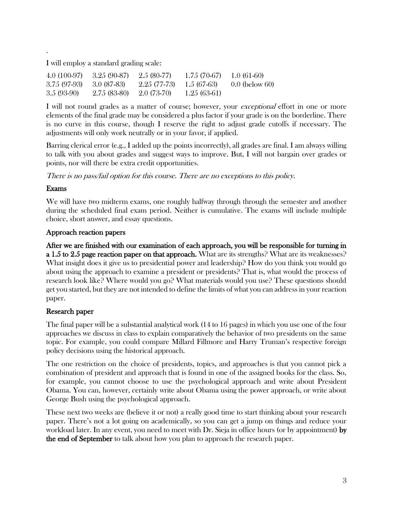I will employ a standard grading scale:

| $4.0(100-97)$ | 3.25 (90-87)  | $2.5(80-77)$ | $1.75(70-67)$ | $1.0(61-60)$     |
|---------------|---------------|--------------|---------------|------------------|
| 3.75 (97-93)  | - 3.0 (87-83) | 2.25 (77-73) | $1.5(67-63)$  | $0.0$ (below 60) |
| $3.5(93-90)$  | $2.75(83-80)$ | $2.0(73-70)$ | $1.25(63-61)$ |                  |

I will not round grades as a matter of course; however, your *exceptional* effort in one or more elements of the final grade may be considered a plus factor if your grade is on the borderline. There is no curve in this course, though I reserve the right to adjust grade cutoffs if necessary. The adjustments will only work neutrally or in your favor, if applied.

Barring clerical error (e.g., I added up the points incorrectly), all grades are final. I am always willing to talk with you about grades and suggest ways to improve. But, I will not bargain over grades or points, nor will there be extra credit opportunities.

There is no pass/fail option for this course. There are no exceptions to this policy.

#### Exams

.

We will have two midterm exams, one roughly halfway through through the semester and another during the scheduled final exam period. Neither is cumulative. The exams will include multiple choice, short answer, and essay questions.

## Approach reaction papers

After we are finished with our examination of each approach, you will be responsible for turning in a 1.5 to 2.5 page reaction paper on that approach. What are its strengths? What are its weaknesses? What insight does it give us to presidential power and leadership? How do you think you would go about using the approach to examine a president or presidents? That is, what would the process of research look like? Where would you go? What materials would you use? These questions should get you started, but they are not intended to define the limits of what you can address in your reaction paper.

## Research paper

The final paper will be a substantial analytical work (14 to 16 pages) in which you use one of the four approaches we discuss in class to explain comparatively the behavior of two presidents on the same topic. For example, you could compare Millard Fillmore and Harry Truman's respective foreign policy decisions using the historical approach.

The one restriction on the choice of presidents, topics, and approaches is that you cannot pick a combination of president and approach that is found in one of the assigned books for the class. So, for example, you cannot choose to use the psychological approach and write about President Obama. You can, however, certainly write about Obama using the power approach, or write about George Bush using the psychological approach.

These next two weeks are (believe it or not) a really good time to start thinking about your research paper. There's not a lot going on academically, so you can get a jump on things and reduce your workload later. In any event, you need to meet with Dr. Sieja in office hours (or by appointment) by the end of September to talk about how you plan to approach the research paper.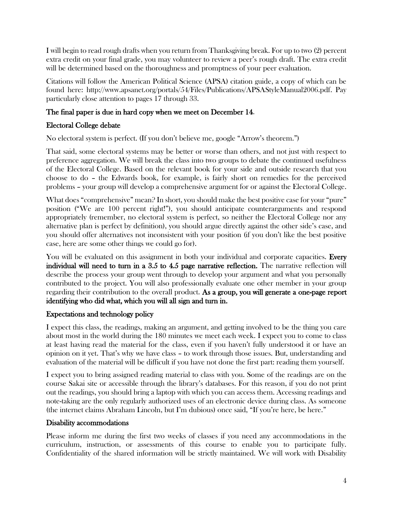I will begin to read rough drafts when you return from Thanksgiving break. For up to two (2) percent extra credit on your final grade, you may volunteer to review a peer's rough draft. The extra credit will be determined based on the thoroughness and promptness of your peer evaluation.

Citations will follow the American Political Science (APSA) citation guide, a copy of which can be found here: http://www.apsanet.org/portals/54/Files/Publications/APSAStyleManual2006.pdf. Pay particularly close attention to pages 17 through 33.

## The final paper is due in hard copy when we meet on December 14.

## Electoral College debate

No electoral system is perfect. (If you don't believe me, google "Arrow's theorem.")

That said, some electoral systems may be better or worse than others, and not just with respect to preference aggregation. We will break the class into two groups to debate the continued usefulness of the Electoral College. Based on the relevant book for your side and outside research that you choose to do – the Edwards book, for example, is fairly short on remedies for the perceived problems – your group will develop a comprehensive argument for or against the Electoral College.

What does "comprehensive" mean? In short, you should make the best positive case for your "pure" position ("We are 100 percent right!"), you should anticipate counterarguments and respond appropriately (remember, no electoral system is perfect, so neither the Electoral College nor any alternative plan is perfect by definition), you should argue directly against the other side's case, and you should offer alternatives not inconsistent with your position (if you don't like the best positive case, here are some other things we could go for).

You will be evaluated on this assignment in both your individual and corporate capacities. Every individual will need to turn in a 3.5 to 4.5 page narrative reflection. The narrative reflection will describe the process your group went through to develop your argument and what you personally contributed to the project. You will also professionally evaluate one other member in your group regarding their contribution to the overall product. As a group, you will generate a one-page report identifying who did what, which you will all sign and turn in.

# Expectations and technology policy

I expect this class, the readings, making an argument, and getting involved to be the thing you care about most in the world during the 180 minutes we meet each week. I expect you to come to class at least having read the material for the class, even if you haven't fully understood it or have an opinion on it yet. That's why we have class – to work through those issues. But, understanding and evaluation of the material will be difficult if you have not done the first part: reading them yourself.

I expect you to bring assigned reading material to class with you. Some of the readings are on the course Sakai site or accessible through the library's databases. For this reason, if you do not print out the readings, you should bring a laptop with which you can access them. Accessing readings and note-taking are the only regularly authorized uses of an electronic device during class. As someone (the internet claims Abraham Lincoln, but I'm dubious) once said, "If you're here, be here."

# Disability accommodations

Please inform me during the first two weeks of classes if you need any accommodations in the curriculum, instruction, or assessments of this course to enable you to participate fully. Confidentiality of the shared information will be strictly maintained. We will work with Disability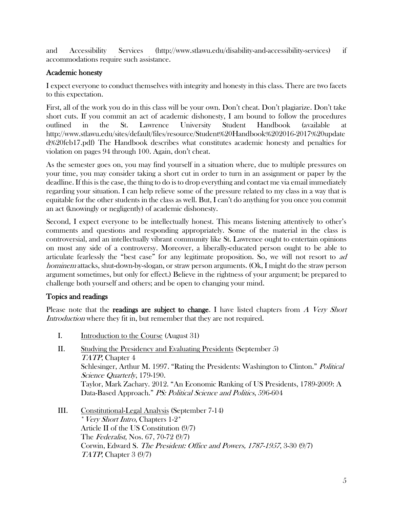and Accessibility Services (http://www.stlawu.edu/disability-and-accessibility-services) if accommodations require such assistance.

## Academic honesty

I expect everyone to conduct themselves with integrity and honesty in this class. There are two facets to this expectation.

First, all of the work you do in this class will be your own. Don't cheat. Don't plagiarize. Don't take short cuts. If you commit an act of academic dishonesty, I am bound to follow the procedures outlined in the St. Lawrence University Student Handbook (available at http://www.stlawu.edu/sites/default/files/resource/Student%20Handbook%202016-2017%20update d%20feb17.pdf) The Handbook describes what constitutes academic honesty and penalties for violation on pages 94 through 100. Again, don't cheat.

As the semester goes on, you may find yourself in a situation where, due to multiple pressures on your time, you may consider taking a short cut in order to turn in an assignment or paper by the deadline. If this is the case, the thing to do is to drop everything and contact me via email immediately regarding your situation. I can help relieve some of the pressure related to my class in a way that is equitable for the other students in the class as well. But, I can't do anything for you once you commit an act (knowingly or negligently) of academic dishonesty.

Second, I expect everyone to be intellectually honest. This means listening attentively to other's comments and questions and responding appropriately. Some of the material in the class is controversial, and an intellectually vibrant community like St. Lawrence ought to entertain opinions on most any side of a controversy. Moreover, a liberally-educated person ought to be able to articulate fearlessly the "best case" for any legitimate proposition. So, we will not resort to ad hominem attacks, shut-down-by-slogan, or straw person arguments. (Ok, I might do the straw person argument sometimes, but only for effect.) Believe in the rightness of your argument; be prepared to challenge both yourself and others; and be open to changing your mind.

## Topics and readings

Please note that the **readings are subject to change.** I have listed chapters from A Very Short Introduction where they fit in, but remember that they are not required.

- I. Introduction to the Course (August 31)
- II. Studying the Presidency and Evaluating Presidents (September 5) TATP, Chapter 4 Schlesinger, Arthur M. 1997. "Rating the Presidents: Washington to Clinton." Political Science Quarterly, 179-190. Taylor, Mark Zachary. 2012. "An Economic Ranking of US Presidents, 1789-2009: A Data-Based Approach." PS: Political Science and Politics, 596-604
- III. Constitutional-Legal Analysis (September 7-14) \*Very Short Intro, Chapters 1-2\* Article II of the US Constitution (9/7) The Federalist, Nos. 67, 70-72 (9/7) Corwin, Edward S. The President: Office and Powers, 1787-1957, 3-30 (9/7) TATP, Chapter 3 (9/7)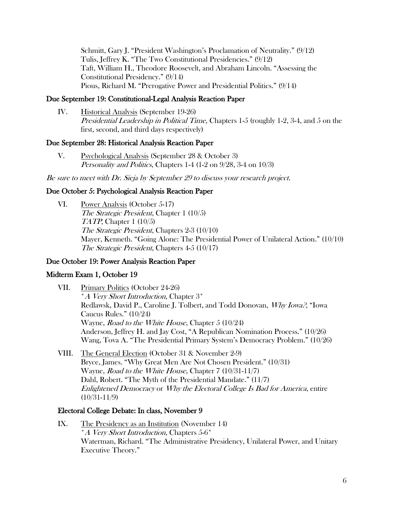Schmitt, Gary J. "President Washington's Proclamation of Neutrality." (9/12) Tulis, Jeffrey K. "The Two Constitutional Presidencies." (9/12) Taft, William H., Theodore Roosevelt, and Abraham Lincoln. "Assessing the Constitutional Presidency." (9/14) Pious, Richard M. "Prerogative Power and Presidential Politics." (9/14)

#### Due September 19: Constitutional-Legal Analysis Reaction Paper

IV. Historical Analysis (September 19-26) Presidential Leadership in Political Time, Chapters 1-5 (roughly 1-2, 3-4, and 5 on the first, second, and third days respectively)

#### Due September 28: Historical Analysis Reaction Paper

V. Psychological Analysis (September 28 & October 3) Personality and Politics, Chapters 1-4 (1-2 on 9/28, 3-4 on 10/3)

Be sure to meet with Dr. Sieja by September 29 to discuss your research project.

## Due October 5: Psychological Analysis Reaction Paper

VI. Power Analysis (October 5-17) The Strategic President, Chapter 1 (10/5) TATP, Chapter 1 (10/5) The Strategic President, Chapters 2-3 (10/10) Mayer, Kenneth. "Going Alone: The Presidential Power of Unilateral Action." (10/10) The Strategic President, Chapters 4-5 (10/17)

## Due October 19: Power Analysis Reaction Paper

## Midterm Exam 1, October 19

- VII. Primary Politics (October 24-26) \*A Very Short Introduction, Chapter 3\* Redlawsk, David P., Caroline J. Tolbert, and Todd Donovan, Why Iowa?, "Iowa Caucus Rules." (10/24) Wayne, *Road to the White House*, Chapter 5 (10/24) Anderson, Jeffrey H. and Jay Cost, "A Republican Nomination Process." (10/26) Wang, Tova A. "The Presidential Primary System's Democracy Problem." (10/26)
- VIII. The General Election (October 31 & November 2-9) Bryce, James. "Why Great Men Are Not Chosen President." (10/31) Wayne, *Road to the White House*, Chapter 7 (10/31-11/7) Dahl, Robert. "The Myth of the Presidential Mandate." (11/7) Enlightened Democracy or Why the Electoral College Is Bad for America, entire (10/31-11/9)

## Electoral College Debate: In class, November 9

IX. The Presidency as an Institution (November 14)  $^*A$  Very Short Introduction, Chapters 5-6 $^*$ Waterman, Richard. "The Administrative Presidency, Unilateral Power, and Unitary Executive Theory."